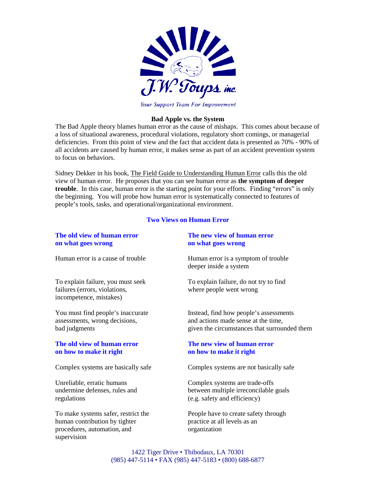

Your Support Team For Improvement

### **Bad Apple vs. the System**

The Bad Apple theory blames human error as the cause of mishaps. This comes about because of a loss of situational awareness, procedural violations, regulatory short comings, or managerial deficiencies. From this point of view and the fact that accident data is presented as 70% - 90% of all accidents are caused by human error, it makes sense as part of an accident prevention system to focus on behaviors.

Sidney Dekker in his book, The Field Guide to Understanding Human Error calls this the old view of human error. He proposes that you can see human error as **the symptom of deeper trouble**. In this case, human error is the starting point for your efforts. Finding "errors" is only the beginning. You will probe how human error is systematically connected to features of people's tools, tasks, and operational/organizational environment.

### **Two Views on Human Error**

| The old view of human error                                                                                        | The new view of human error                                                          |
|--------------------------------------------------------------------------------------------------------------------|--------------------------------------------------------------------------------------|
| on what goes wrong                                                                                                 | on what goes wrong                                                                   |
| Human error is a cause of trouble                                                                                  | Human error is a symptom of trouble<br>deeper inside a system                        |
| To explain failure, you must seek<br>failures (errors, violations,<br>incompetence, mistakes)                      | To explain failure, do not try to find<br>where people went wrong                    |
| You must find people's inaccurate                                                                                  | Instead, find how people's assessments                                               |
| assessments, wrong decisions,                                                                                      | and actions made sense at the time,                                                  |
| bad judgments                                                                                                      | given the circumstances that surrounded them                                         |
| The old view of human error                                                                                        | The new view of human error                                                          |
| on how to make it right                                                                                            | on how to make it right                                                              |
| Complex systems are basically safe                                                                                 | Complex systems are not basically safe                                               |
| Unreliable, erratic humans                                                                                         | Complex systems are trade-offs                                                       |
| undermine defenses, rules and                                                                                      | between multiple irreconcilable goals                                                |
| regulations                                                                                                        | (e.g. safety and efficiency)                                                         |
| To make systems safer, restrict the<br>human contribution by tighter<br>procedures, automation, and<br>supervision | People have to create safety through<br>practice at all levels as an<br>organization |

1422 Tiger Drive • Thibodaux, LA 70301 (985) 447-5114 • FAX (985) 447-5183 • (800) 688-6877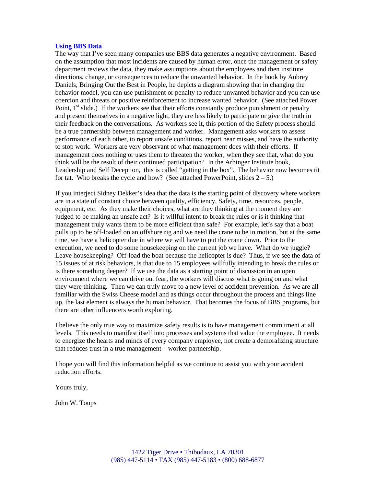#### **Using BBS Data**

The way that I've seen many companies use BBS data generates a negative environment. Based on the assumption that most incidents are caused by human error, once the management or safety department reviews the data, they make assumptions about the employees and then institute directions, change, or consequences to reduce the unwanted behavior. In the book by Aubrey Daniels, Bringing Out the Best in People, he depicts a diagram showing that in changing the behavior model, you can use punishment or penalty to reduce unwanted behavior and you can use coercion and threats or positive reinforcement to increase wanted behavior. (See attached Power Point,  $1<sup>st</sup>$  slide.) If the workers see that their efforts constantly produce punishment or penalty and present themselves in a negative light, they are less likely to participate or give the truth in their feedback on the conversations. As workers see it, this portion of the Safety process should be a true partnership between management and worker. Management asks workers to assess performance of each other, to report unsafe conditions, report near misses, and have the authority to stop work. Workers are very observant of what management does with their efforts. If management does nothing or uses them to threaten the worker, when they see that, what do you think will be the result of their continued participation? In the Arbinger Institute book, Leadership and Self Deception, this is called "getting in the box". The behavior now becomes tit for tat. Who breaks the cycle and how? (See attached PowerPoint, slides  $2 - 5$ .)

If you interject Sidney Dekker's idea that the data is the starting point of discovery where workers are in a state of constant choice between quality, efficiency, Safety, time, resources, people, equipment, etc. As they make their choices, what are they thinking at the moment they are judged to be making an unsafe act? Is it willful intent to break the rules or is it thinking that management truly wants them to be more efficient than safe? For example, let's say that a boat pulls up to be off-loaded on an offshore rig and we need the crane to be in motion, but at the same time, we have a helicopter due in where we will have to put the crane down. Prior to the execution, we need to do some housekeeping on the current job we have. What do we juggle? Leave housekeeping? Off-load the boat because the helicopter is due? Thus, if we see the data of 15 issues of at risk behaviors, is that due to 15 employees willfully intending to break the rules or is there something deeper? If we use the data as a starting point of discussion in an open environment where we can drive out fear, the workers will discuss what is going on and what they were thinking. Then we can truly move to a new level of accident prevention. As we are all familiar with the Swiss Cheese model and as things occur throughout the process and things line up, the last element is always the human behavior. That becomes the focus of BBS programs, but there are other influencers worth exploring.

I believe the only true way to maximize safety results is to have management commitment at all levels. This needs to manifest itself into processes and systems that value the employee. It needs to energize the hearts and minds of every company employee, not create a demoralizing structure that reduces trust in a true management – worker partnership.

I hope you will find this information helpful as we continue to assist you with your accident reduction efforts.

Yours truly,

John W. Toups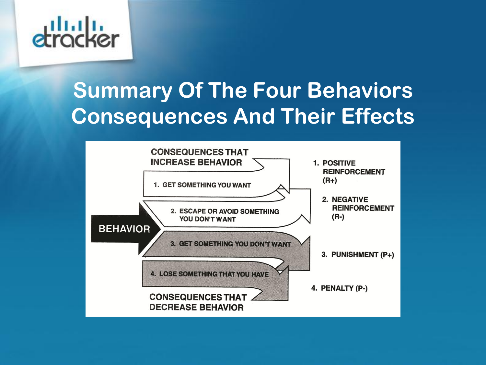

## **Summary Of The Four Behaviors Consequences And Their Effects**

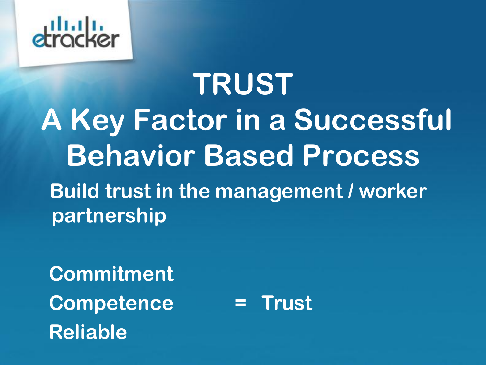

## **TRUST A Key Factor in a Successful Behavior Based Process Build trust in the management / worker partnership**

**Commitment Competence = Trust Reliable**

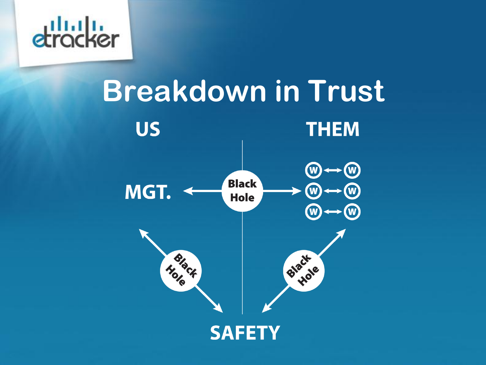

## **Breakdown in TrustUS THEM** W) **W Black** MGT.  $\overline{\mathbf{W}}$ **Hole** W **BIBCH** Blackte **SAFET**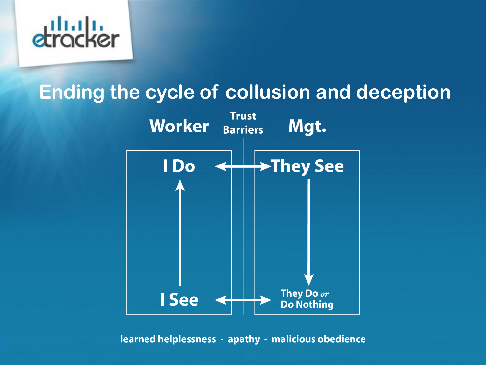

### **Ending the cycle of collusion and deception**



learned helplessness - apathy - malicious obedience